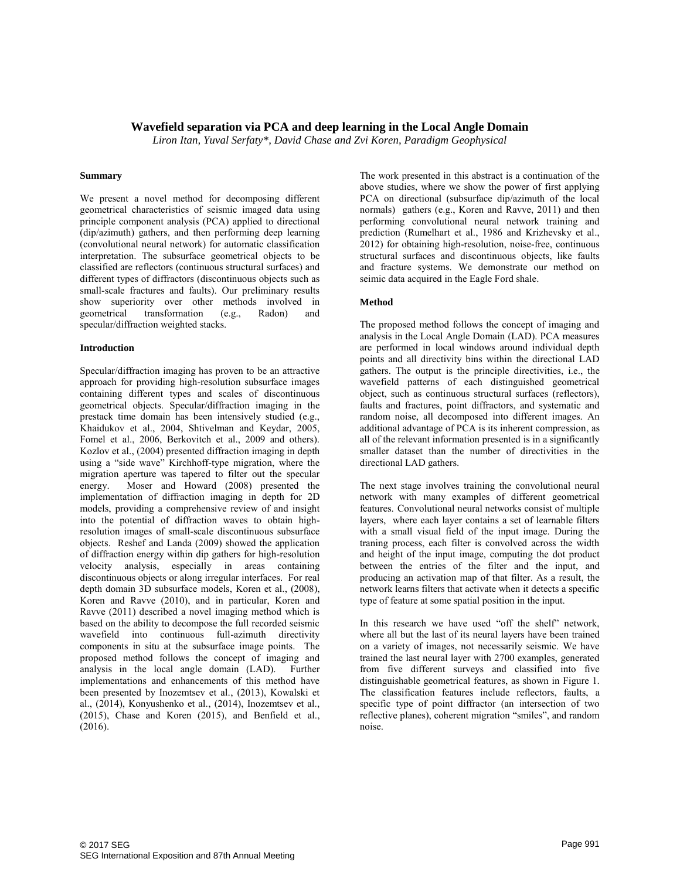## **Wavefield separation via PCA and deep learning in the Local Angle Domain**

*Liron Itan, Yuval Serfaty\*, David Chase and Zvi Koren, Paradigm Geophysical* 

### **Summary**

We present a novel method for decomposing different geometrical characteristics of seismic imaged data using principle component analysis (PCA) applied to directional (dip/azimuth) gathers, and then performing deep learning (convolutional neural network) for automatic classification interpretation. The subsurface geometrical objects to be classified are reflectors (continuous structural surfaces) and different types of diffractors (discontinuous objects such as small-scale fractures and faults). Our preliminary results show superiority over other methods involved in geometrical transformation (e.g., Radon) and specular/diffraction weighted stacks.

### **Introduction**

Specular/diffraction imaging has proven to be an attractive approach for providing high-resolution subsurface images containing different types and scales of discontinuous geometrical objects. Specular/diffraction imaging in the prestack time domain has been intensively studied (e.g., Khaidukov et al., 2004, Shtivelman and Keydar, 2005, Fomel et al., 2006, Berkovitch et al., 2009 and others). Kozlov et al., (2004) presented diffraction imaging in depth using a "side wave" Kirchhoff-type migration, where the migration aperture was tapered to filter out the specular energy. Moser and Howard (2008) presented the implementation of diffraction imaging in depth for 2D models, providing a comprehensive review of and insight into the potential of diffraction waves to obtain highresolution images of small-scale discontinuous subsurface objects. Reshef and Landa (2009) showed the application of diffraction energy within dip gathers for high-resolution velocity analysis, especially in areas containing discontinuous objects or along irregular interfaces. For real depth domain 3D subsurface models, Koren et al., (2008), Koren and Ravve (2010), and in particular, Koren and Ravve (2011) described a novel imaging method which is based on the ability to decompose the full recorded seismic wavefield into continuous full-azimuth directivity components in situ at the subsurface image points. The proposed method follows the concept of imaging and analysis in the local angle domain (LAD). Further implementations and enhancements of this method have been presented by Inozemtsev et al., (2013), Kowalski et al., (2014), Konyushenko et al., (2014), Inozemtsev et al., (2015), Chase and Koren (2015), and Benfield et al., (2016).

The work presented in this abstract is a continuation of the above studies, where we show the power of first applying PCA on directional (subsurface dip/azimuth of the local normals) gathers (e.g., Koren and Ravve, 2011) and then performing convolutional neural network training and prediction (Rumelhart et al., 1986 and Krizhevsky et al., 2012) for obtaining high-resolution, noise-free, continuous structural surfaces and discontinuous objects, like faults and fracture systems. We demonstrate our method on seimic data acquired in the Eagle Ford shale.

### **Method**

The proposed method follows the concept of imaging and analysis in the Local Angle Domain (LAD). PCA measures are performed in local windows around individual depth points and all directivity bins within the directional LAD gathers. The output is the principle directivities, i.e., the wavefield patterns of each distinguished geometrical object, such as continuous structural surfaces (reflectors), faults and fractures, point diffractors, and systematic and random noise, all decomposed into different images. An additional advantage of PCA is its inherent compression, as all of the relevant information presented is in a significantly smaller dataset than the number of directivities in the directional LAD gathers.

The next stage involves training the convolutional neural network with many examples of different geometrical features. Convolutional neural networks consist of multiple layers, where each layer contains a set of learnable filters with a small visual field of the input image. During the traning process, each filter is convolved across the width and height of the input image, computing the dot product between the entries of the filter and the input, and producing an activation map of that filter. As a result, the network learns filters that activate when it detects a specific type of feature at some spatial position in the input.

In this research we have used "off the shelf" network, where all but the last of its neural layers have been trained on a variety of images, not necessarily seismic. We have trained the last neural layer with 2700 examples, generated from five different surveys and classified into five distinguishable geometrical features, as shown in Figure 1. The classification features include reflectors, faults, a specific type of point diffractor (an intersection of two reflective planes), coherent migration "smiles", and random noise.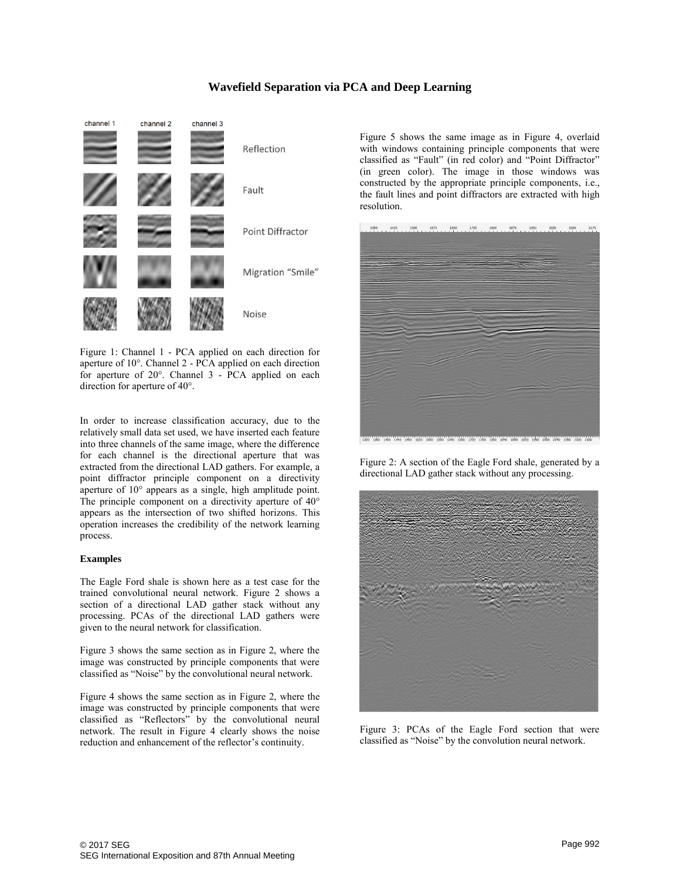## **Wavefield Separation via PCA and Deep Learning**



Figure 1: Channel 1 - PCA applied on each direction for aperture of 10°. Channel 2 - PCA applied on each direction for aperture of 20°. Channel 3 - PCA applied on each direction for aperture of 40°.

In order to increase classification accuracy, due to the relatively small data set used, we have inserted each feature into three channels of the same image, where the difference for each channel is the directional aperture that was extracted from the directional LAD gathers. For example, a point diffractor principle component on a directivity aperture of 10° appears as a single, high amplitude point. The principle component on a directivity aperture of 40° appears as the intersection of two shifted horizons. This operation increases the credibility of the network learning process.

### **Examples**

The Eagle Ford shale is shown here as a test case for the trained convolutional neural network. Figure 2 shows a section of a directional LAD gather stack without any processing. PCAs of the directional LAD gathers were given to the neural network for classification.

Figure 3 shows the same section as in Figure 2, where the image was constructed by principle components that were classified as "Noise" by the convolutional neural network.

Figure 4 shows the same section as in Figure 2, where the image was constructed by principle components that were classified as "Reflectors" by the convolutional neural network. The result in Figure 4 clearly shows the noise reduction and enhancement of the reflector's continuity.

Figure 5 shows the same image as in Figure 4, overlaid with windows containing principle components that were classified as "Fault" (in red color) and "Point Diffractor" (in green color). The image in those windows was constructed by the appropriate principle components, i.e., the fault lines and point diffractors are extracted with high resolution.



Figure 2: A section of the Eagle Ford shale, generated by a directional LAD gather stack without any processing.



Figure 3: PCAs of the Eagle Ford section that were classified as "Noise" by the convolution neural network.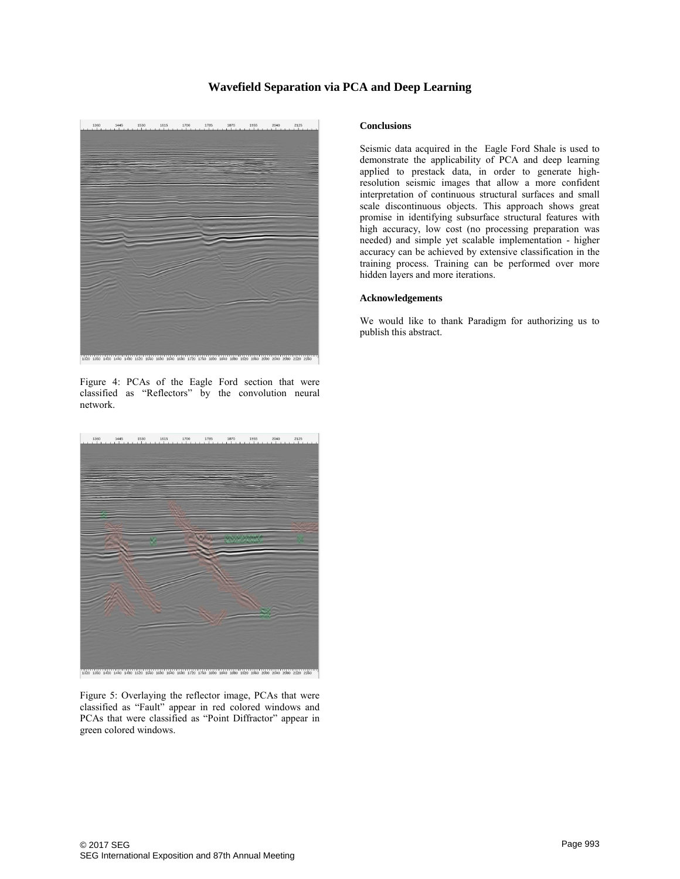# **Wavefield Separation via PCA and Deep Learning**



Figure 4: PCAs of the Eagle Ford section that were classified as "Reflectors" by the convolution neural network.



Figure 5: Overlaying the reflector image, PCAs that were classified as "Fault" appear in red colored windows and PCAs that were classified as "Point Diffractor" appear in green colored windows.

### **Conclusions**

Seismic data acquired in the Eagle Ford Shale is used to demonstrate the applicability of PCA and deep learning applied to prestack data, in order to generate highresolution seismic images that allow a more confident interpretation of continuous structural surfaces and small scale discontinuous objects. This approach shows great promise in identifying subsurface structural features with high accuracy, low cost (no processing preparation was needed) and simple yet scalable implementation - higher accuracy can be achieved by extensive classification in the training process. Training can be performed over more hidden layers and more iterations.

### **Acknowledgements**

We would like to thank Paradigm for authorizing us to publish this abstract.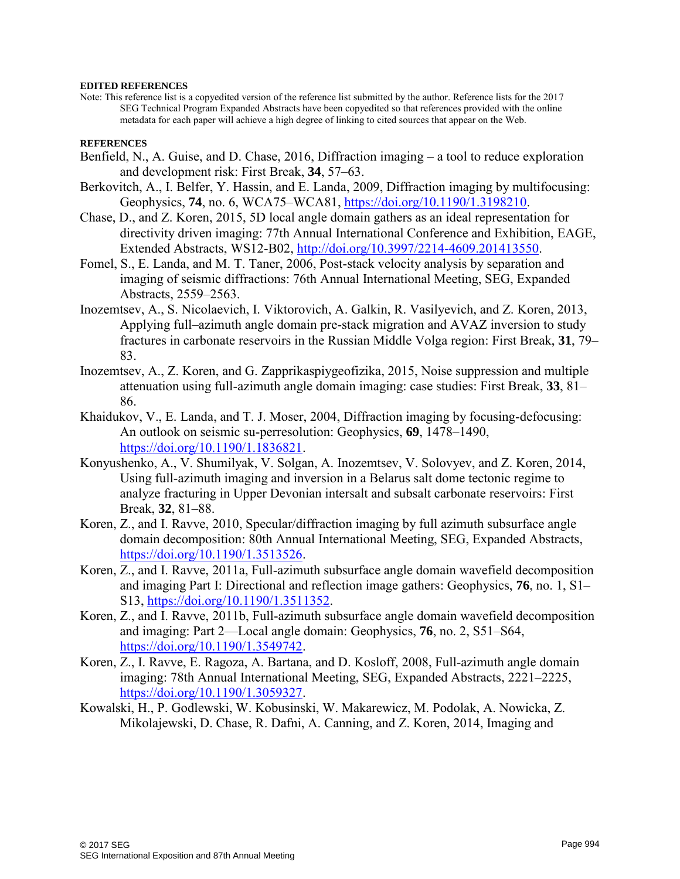## **EDITED REFERENCES**

Note: This reference list is a copyedited version of the reference list submitted by the author. Reference lists for the 2017 SEG Technical Program Expanded Abstracts have been copyedited so that references provided with the online metadata for each paper will achieve a high degree of linking to cited sources that appear on the Web.

# **REFERENCES**

- Benfield, N., A. Guise, and D. Chase, 2016, Diffraction imaging a tool to reduce exploration and development risk: First Break, **34**, 57–63.
- Berkovitch, A., I. Belfer, Y. Hassin, and E. Landa, 2009, Diffraction imaging by multifocusing: Geophysics, **74**, no. 6, WCA75–WCA81, [https://doi.org/10.1190/1.3198210.](https://doi.org/10.1190/1.3198210)
- Chase, D., and Z. Koren, 2015, 5D local angle domain gathers as an ideal representation for directivity driven imaging: 77th Annual International Conference and Exhibition, EAGE, Extended Abstracts, WS12-B02, [http://doi.org/10.3997/2214-4609.201413550.](http://doi.org/10.3997/2214-4609.201413550)
- Fomel, S., E. Landa, and M. T. Taner, 2006, Post-stack velocity analysis by separation and imaging of seismic diffractions: 76th Annual International Meeting, SEG, Expanded Abstracts, 2559–2563.
- Inozemtsev, A., S. Nicolaevich, I. Viktorovich, A. Galkin, R. Vasilyevich, and Z. Koren, 2013, Applying full–azimuth angle domain pre-stack migration and AVAZ inversion to study fractures in carbonate reservoirs in the Russian Middle Volga region: First Break, **31**, 79– 83.
- Inozemtsev, A., Z. Koren, and G. Zapprikaspiygeofizika, 2015, Noise suppression and multiple attenuation using full-azimuth angle domain imaging: case studies: First Break, **33**, 81– 86.
- Khaidukov, V., E. Landa, and T. J. Moser, 2004, Diffraction imaging by focusing-defocusing: An outlook on seismic su-perresolution: Geophysics, **69**, 1478–1490, [https://doi.org/10.1190/1.1836821.](https://doi.org/10.1190/1.1836821)
- Konyushenko, A., V. Shumilyak, V. Solgan, A. Inozemtsev, V. Solovyev, and Z. Koren, 2014, Using full-azimuth imaging and inversion in a Belarus salt dome tectonic regime to analyze fracturing in Upper Devonian intersalt and subsalt carbonate reservoirs: First Break, **32**, 81–88.
- Koren, Z., and I. Ravve, 2010, Specular/diffraction imaging by full azimuth subsurface angle domain decomposition: 80th Annual International Meeting, SEG, Expanded Abstracts, [https://doi.org/10.1190/1.3513526.](https://doi.org/10.1190/1.3513526)
- Koren, Z., and I. Ravve, 2011a, Full-azimuth subsurface angle domain wavefield decomposition and imaging Part I: Directional and reflection image gathers: Geophysics, **76**, no. 1, S1– S13, [https://doi.org/10.1190/1.3511352.](https://doi.org/10.1190/1.3511352)
- Koren, Z., and I. Ravve, 2011b, Full-azimuth subsurface angle domain wavefield decomposition and imaging: Part 2—Local angle domain: Geophysics, **76**, no. 2, S51–S64, [https://doi.org/10.1190/1.3549742.](https://doi.org/10.1190/1.3549742)
- Koren, Z., I. Ravve, E. Ragoza, A. Bartana, and D. Kosloff, 2008, Full-azimuth angle domain imaging: 78th Annual International Meeting, SEG, Expanded Abstracts, 2221–2225, [https://doi.org/10.1190/1.3059327.](https://doi.org/10.1190/1.3059327)
- Kowalski, H., P. Godlewski, W. Kobusinski, W. Makarewicz, M. Podolak, A. Nowicka, Z. Mikolajewski, D. Chase, R. Dafni, A. Canning, and Z. Koren, 2014, Imaging and